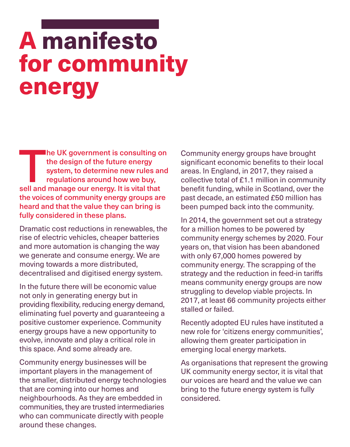# A manifesto for community energy

The UK government is consulting on<br>the design of the future energy<br>system, to determine new rules and<br>regulations around how we buy,<br>sell and manage our energy. It is vital that the design of the future energy system, to determine new rules and regulations around how we buy, the voices of community energy groups are heard and that the value they can bring is fully considered in these plans.

Dramatic cost reductions in renewables, the rise of electric vehicles, cheaper batteries and more automation is changing the way we generate and consume energy. We are moving towards a more distributed, decentralised and digitised energy system.

In the future there will be economic value not only in generating energy but in providing flexibility, reducing energy demand, eliminating fuel poverty and guaranteeing a positive customer experience. Community energy groups have a new opportunity to evolve, innovate and play a critical role in this space. And some already are.

Community energy businesses will be important players in the management of the smaller, distributed energy technologies that are coming into our homes and neighbourhoods. As they are embedded in communities, they are trusted intermediaries who can communicate directly with people around these changes.

Community energy groups have brought significant economic benefits to their local areas. In England, in 2017, they raised a collective total of £1.1 million in community benefit funding, while in Scotland, over the past decade, an estimated £50 million has been pumped back into the community.

In 2014, the government set out a strategy for a million homes to be powered by community energy schemes by 2020. Four years on, that vision has been abandoned with only 67,000 homes powered by community energy. The scrapping of the strategy and the reduction in feed-in tariffs means community energy groups are now struggling to develop viable projects. In 2017, at least 66 community projects either stalled or failed.

Recently adopted EU rules have instituted a new role for 'citizens energy communities', allowing them greater participation in emerging local energy markets.

As organisations that represent the growing UK community energy sector, it is vital that our voices are heard and the value we can bring to the future energy system is fully considered.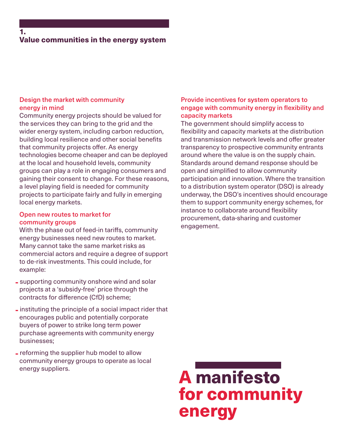# Design the market with community energy in mind

Community energy projects should be valued for the services they can bring to the grid and the wider energy system, including carbon reduction, building local resilience and other social benefits that community projects offer. As energy technologies become cheaper and can be deployed at the local and household levels, community groups can play a role in engaging consumers and gaining their consent to change. For these reasons, a level playing field is needed for community projects to participate fairly and fully in emerging local energy markets.

## Open new routes to market for community groups

With the phase out of feed-in tariffs, community energy businesses need new routes to market. Many cannot take the same market risks as commercial actors and require a degree of support to de-risk investments. This could include, for example:

- supporting community onshore wind and solar projects at a 'subsidy-free' price through the contracts for difference (CfD) scheme;
- instituting the principle of a social impact rider that encourages public and potentially corporate buyers of power to strike long term power purchase agreements with community energy businesses;
- reforming the supplier hub model to allow community energy groups to operate as local energy suppliers.

# Provide incentives for system operators to engage with community energy in flexibility and capacity markets

The government should simplify access to flexibility and capacity markets at the distribution and transmission network levels and offer greater transparency to prospective community entrants around where the value is on the supply chain. Standards around demand response should be open and simplified to allow community participation and innovation. Where the transition to a distribution system operator (DSO) is already underway, the DSO's incentives should encourage them to support community energy schemes, for instance to collaborate around flexibility procurement, data-sharing and customer engagement.

A manifesto for community energy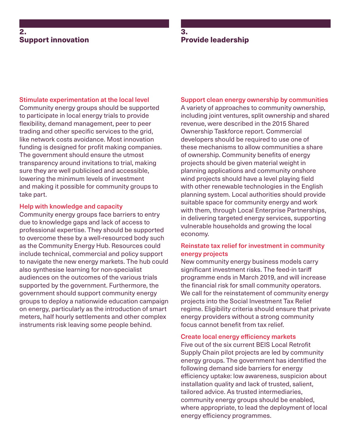# 2. Support innovation

# 3. Provide leadership

#### Stimulate experimentation at the local level

Community energy groups should be supported to participate in local energy trials to provide flexibility, demand management, peer to peer trading and other specific services to the grid, like network costs avoidance. Most innovation funding is designed for profit making companies. The government should ensure the utmost transparency around invitations to trial, making sure they are well publicised and accessible, lowering the minimum levels of investment and making it possible for community groups to take part.

#### Help with knowledge and capacity

Community energy groups face barriers to entry due to knowledge gaps and lack of access to professional expertise. They should be supported to overcome these by a well-resourced body such as the Community Energy Hub. Resources could include technical, commercial and policy support to navigate the new energy markets. The hub could also synthesise learning for non-specialist audiences on the outcomes of the various trials supported by the government. Furthermore, the government should support community energy groups to deploy a nationwide education campaign on energy, particularly as the introduction of smart meters, half hourly settlements and other complex instruments risk leaving some people behind.

#### Support clean energy ownership by communities

A variety of approaches to community ownership, including joint ventures, split ownership and shared revenue, were described in the 2015 Shared Ownership Taskforce report. Commercial developers should be required to use one of these mechanisms to allow communities a share of ownership. Community benefits of energy projects should be given material weight in planning applications and community onshore wind projects should have a level playing field with other renewable technologies in the English planning system. Local authorities should provide suitable space for community energy and work with them, through Local Enterprise Partnerships, in delivering targeted energy services, supporting vulnerable households and growing the local economy.

#### Reinstate tax relief for investment in community energy projects

New community energy business models carry significant investment risks. The feed-in tariff programme ends in March 2019, and will increase the financial risk for small community operators. We call for the reinstatement of community energy projects into the Social Investment Tax Relief regime. Eligibility criteria should ensure that private energy providers without a strong community focus cannot benefit from tax relief.

#### Create local energy efficiency markets

Five out of the six current BEIS Local Retrofit Supply Chain pilot projects are led by community energy groups. The government has identified the following demand side barriers for energy efficiency uptake: low awareness, suspicion about installation quality and lack of trusted, salient, tailored advice. As trusted intermediaries, community energy groups should be enabled, where appropriate, to lead the deployment of local energy efficiency programmes.